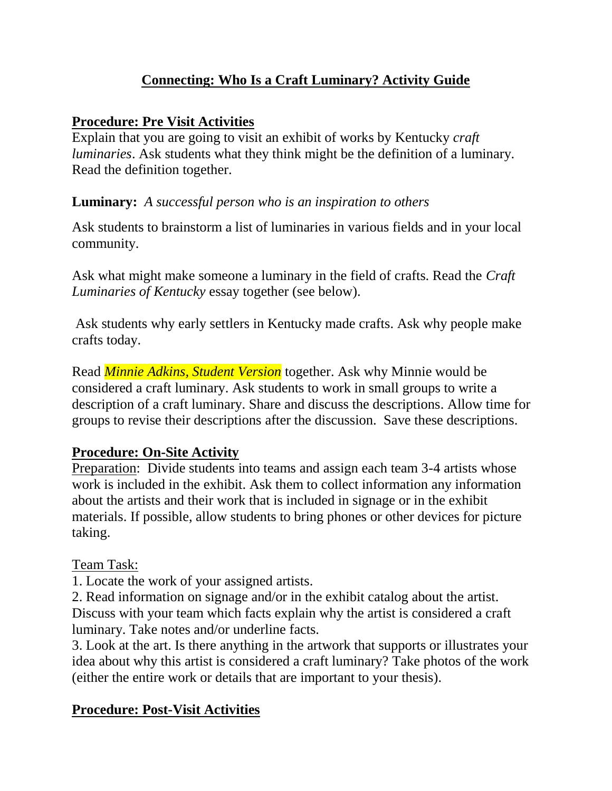### **Connecting: Who Is a Craft Luminary? Activity Guide**

#### **Procedure: Pre Visit Activities**

Explain that you are going to visit an exhibit of works by Kentucky *craft luminaries*. Ask students what they think might be the definition of a luminary. Read the definition together.

#### **Luminary:** *A successful person who is an inspiration to others*

Ask students to brainstorm a list of luminaries in various fields and in your local community.

Ask what might make someone a luminary in the field of crafts. Read the *Craft Luminaries of Kentucky* essay together (see below).

Ask students why early settlers in Kentucky made crafts. Ask why people make crafts today.

Read *Minnie Adkins, Student Version* together. Ask why Minnie would be considered a craft luminary. Ask students to work in small groups to write a description of a craft luminary. Share and discuss the descriptions. Allow time for groups to revise their descriptions after the discussion. Save these descriptions.

#### **Procedure: On-Site Activity**

Preparation: Divide students into teams and assign each team 3-4 artists whose work is included in the exhibit. Ask them to collect information any information about the artists and their work that is included in signage or in the exhibit materials. If possible, allow students to bring phones or other devices for picture taking.

#### Team Task:

1. Locate the work of your assigned artists.

2. Read information on signage and/or in the exhibit catalog about the artist. Discuss with your team which facts explain why the artist is considered a craft luminary. Take notes and/or underline facts.

3. Look at the art. Is there anything in the artwork that supports or illustrates your idea about why this artist is considered a craft luminary? Take photos of the work (either the entire work or details that are important to your thesis).

#### **Procedure: Post-Visit Activities**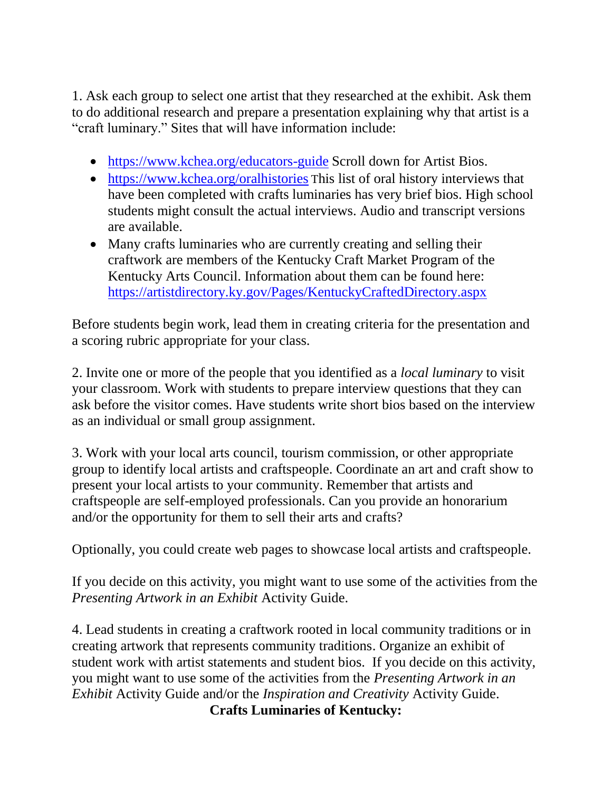1. Ask each group to select one artist that they researched at the exhibit. Ask them to do additional research and prepare a presentation explaining why that artist is a "craft luminary." Sites that will have information include:

- <https://www.kchea.org/educators-guide> Scroll down for Artist Bios.
- <https://www.kchea.org/oralhistories> This list of oral history interviews that have been completed with crafts luminaries has very brief bios. High school students might consult the actual interviews. Audio and transcript versions are available.
- Many crafts luminaries who are currently creating and selling their craftwork are members of the Kentucky Craft Market Program of the Kentucky Arts Council. Information about them can be found here: <https://artistdirectory.ky.gov/Pages/KentuckyCraftedDirectory.aspx>

Before students begin work, lead them in creating criteria for the presentation and a scoring rubric appropriate for your class.

2. Invite one or more of the people that you identified as a *local luminary* to visit your classroom. Work with students to prepare interview questions that they can ask before the visitor comes. Have students write short bios based on the interview as an individual or small group assignment.

3. Work with your local arts council, tourism commission, or other appropriate group to identify local artists and craftspeople. Coordinate an art and craft show to present your local artists to your community. Remember that artists and craftspeople are self-employed professionals. Can you provide an honorarium and/or the opportunity for them to sell their arts and crafts?

Optionally, you could create web pages to showcase local artists and craftspeople.

If you decide on this activity, you might want to use some of the activities from the *Presenting Artwork in an Exhibit* Activity Guide.

4. Lead students in creating a craftwork rooted in local community traditions or in creating artwork that represents community traditions. Organize an exhibit of student work with artist statements and student bios. If you decide on this activity, you might want to use some of the activities from the *Presenting Artwork in an Exhibit* Activity Guide and/or the *Inspiration and Creativity* Activity Guide.

**Crafts Luminaries of Kentucky:**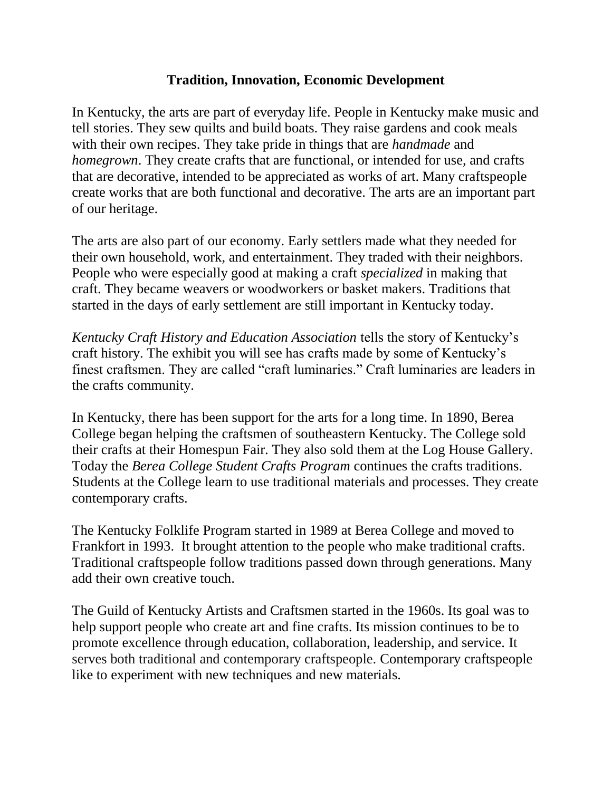#### **Tradition, Innovation, Economic Development**

In Kentucky, the arts are part of everyday life. People in Kentucky make music and tell stories. They sew quilts and build boats. They raise gardens and cook meals with their own recipes. They take pride in things that are *handmade* and *homegrown*. They create crafts that are functional, or intended for use, and crafts that are decorative, intended to be appreciated as works of art. Many craftspeople create works that are both functional and decorative. The arts are an important part of our heritage.

The arts are also part of our economy. Early settlers made what they needed for their own household, work, and entertainment. They traded with their neighbors. People who were especially good at making a craft *specialized* in making that craft. They became weavers or woodworkers or basket makers. Traditions that started in the days of early settlement are still important in Kentucky today.

*Kentucky Craft History and Education Association* tells the story of Kentucky's craft history. The exhibit you will see has crafts made by some of Kentucky's finest craftsmen. They are called "craft luminaries." Craft luminaries are leaders in the crafts community.

In Kentucky, there has been support for the arts for a long time. In 1890, Berea College began helping the craftsmen of southeastern Kentucky. The College sold their crafts at their Homespun Fair. They also sold them at the Log House Gallery. Today the *Berea College Student Crafts Program* continues the crafts traditions. Students at the College learn to use traditional materials and processes. They create contemporary crafts.

The Kentucky Folklife Program started in 1989 at Berea College and moved to Frankfort in 1993. It brought attention to the people who make traditional crafts. Traditional craftspeople follow traditions passed down through generations. Many add their own creative touch.

The Guild of Kentucky Artists and Craftsmen started in the 1960s. Its goal was to help support people who create art and fine crafts. Its mission continues to be to promote excellence through education, collaboration, leadership, and service. It serves both traditional and contemporary craftspeople. Contemporary craftspeople like to experiment with new techniques and new materials.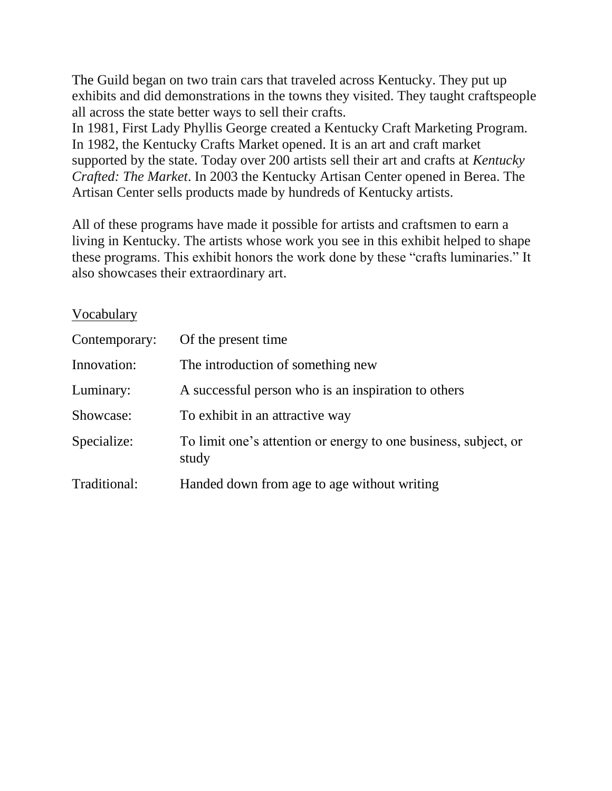The Guild began on two train cars that traveled across Kentucky. They put up exhibits and did demonstrations in the towns they visited. They taught craftspeople all across the state better ways to sell their crafts.

In 1981, First Lady Phyllis George created a Kentucky Craft Marketing Program. In 1982, the Kentucky Crafts Market opened. It is an art and craft market supported by the state. Today over 200 artists sell their art and crafts at *Kentucky Crafted: The Market*. In 2003 the Kentucky Artisan Center opened in Berea. The Artisan Center sells products made by hundreds of Kentucky artists.

All of these programs have made it possible for artists and craftsmen to earn a living in Kentucky. The artists whose work you see in this exhibit helped to shape these programs. This exhibit honors the work done by these "crafts luminaries." It also showcases their extraordinary art.

#### Vocabulary

| Contemporary: | Of the present time                                                      |
|---------------|--------------------------------------------------------------------------|
| Innovation:   | The introduction of something new                                        |
| Luminary:     | A successful person who is an inspiration to others                      |
| Showcase:     | To exhibit in an attractive way                                          |
| Specialize:   | To limit one's attention or energy to one business, subject, or<br>study |
| Traditional:  | Handed down from age to age without writing                              |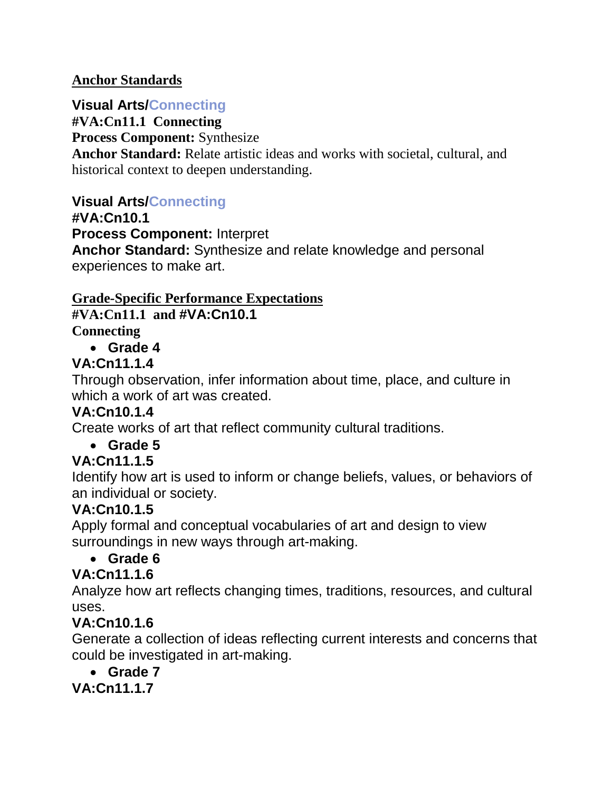#### **Anchor Standards**

## **Visual Arts/Connecting**

**#VA:Cn11.1 Connecting**

**Process Component:** Synthesize

**Anchor Standard:** Relate artistic ideas and works with societal, cultural, and historical context to deepen understanding.

### **Visual Arts/Connecting**

**#VA:Cn10.1**

**Process Component:** Interpret

**Anchor Standard:** Synthesize and relate knowledge and personal experiences to make art.

# **Grade-Specific Performance Expectations**

**#VA:Cn11.1 and #VA:Cn10.1**

**Connecting**

**Grade 4**

## **VA:Cn11.1.4**

Through observation, infer information about time, place, and culture in which a work of art was created.

## **VA:Cn10.1.4**

Create works of art that reflect community cultural traditions.

### **Grade 5**

## **VA:Cn11.1.5**

Identify how art is used to inform or change beliefs, values, or behaviors of an individual or society.

### **VA:Cn10.1.5**

Apply formal and conceptual vocabularies of art and design to view surroundings in new ways through art-making.

### **Grade 6**

### **VA:Cn11.1.6**

Analyze how art reflects changing times, traditions, resources, and cultural uses.

## **VA:Cn10.1.6**

Generate a collection of ideas reflecting current interests and concerns that could be investigated in art-making.

### **Grade 7**

**VA:Cn11.1.7**